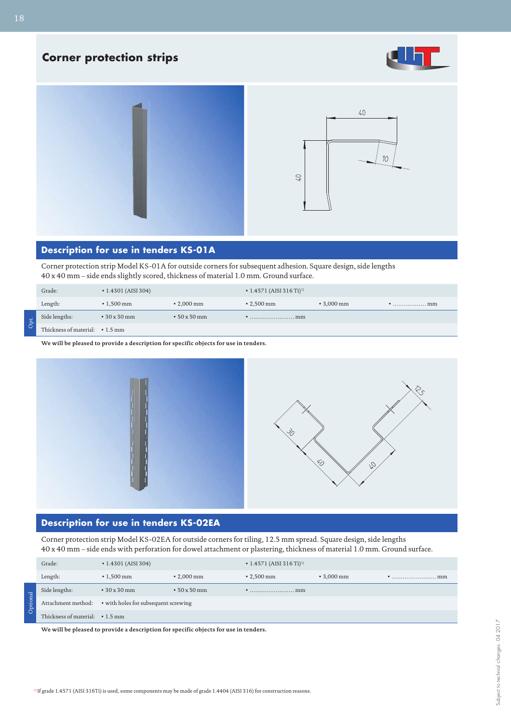# **Corner protection strips**







#### **Description for use in tenders KS-01A**

Corner protection strip Model KS-01A for outside corners for subsequent adhesion. Square design, side lengths 40 x 40 mm – side ends slightly scored, thickness of material 1.0 mm. Ground surface.

| Grade:                          | $\cdot$ 1.4301 (AISI 304) |                    | $\cdot$ 1.4571 (AISI 316 Ti) <sup>1)</sup>                |                  |  |
|---------------------------------|---------------------------|--------------------|-----------------------------------------------------------|------------------|--|
| Length:                         | $\cdot$ 1.500 mm          | $\cdot$ 2,000 mm   | $\cdot$ 2,500 mm                                          | $\cdot$ 3,000 mm |  |
| Side lengths:                   | $\cdot$ 30 x 30 mm        | $\cdot$ 50 x 50 mm | $\ldots \ldots \ldots \ldots \ldots \ldots \ldots \ldots$ |                  |  |
| Thickness of material: • 1.5 mm |                           |                    |                                                           |                  |  |

18

**We will be pleased to provide a description for specific objects for use in tenders.**



# **Description for use in tenders KS-02EA**

Corner protection strip Model KS-02EA for outside corners for tiling, 12.5 mm spread. Square design, side lengths 40 x 40 mm – side ends with perforation for dowel attachment or plastering, thickness of material 1.0 mm. Ground surface.

|          | Grade:                          | $\cdot$ 1.4301 (AISI 304)                               |                    | $\cdot$ 1.4571 (AISI 316 Ti) <sup>1)</sup> |                  |      |
|----------|---------------------------------|---------------------------------------------------------|--------------------|--------------------------------------------|------------------|------|
|          | Length:                         | $\cdot$ 1.500 mm                                        | $\cdot$ 2.000 mm   | $\cdot$ 2.500 mm                           | $\cdot$ 3,000 mm | . mm |
|          | Side lengths:                   | $\cdot$ 30 x 30 mm                                      | $\cdot$ 50 x 50 mm | mm                                         |                  |      |
| Optional |                                 | Attachment method: • with holes for subsequent screwing |                    |                                            |                  |      |
|          | Thickness of material: • 1.5 mm |                                                         |                    |                                            |                  |      |

**We will be pleased to provide a description for specific objects for use in tenders.**